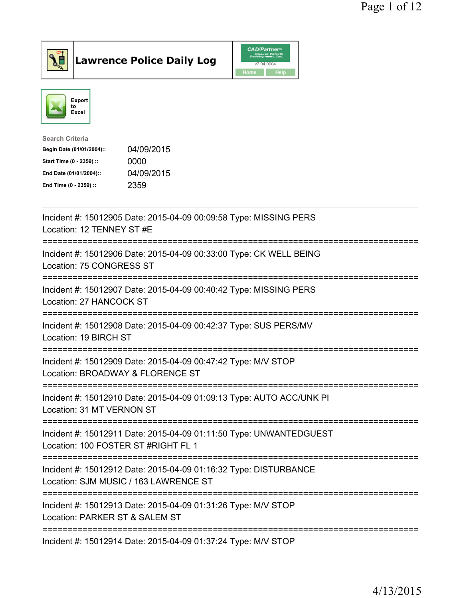





| <b>Search Criteria</b>    |            |
|---------------------------|------------|
| Begin Date (01/01/2004):: | 04/09/2015 |
| Start Time (0 - 2359) ::  | 0000       |
| End Date (01/01/2004)::   | 04/09/2015 |
| End Time (0 - 2359) ::    | 2359       |
|                           |            |

| Incident #: 15012905 Date: 2015-04-09 00:09:58 Type: MISSING PERS<br>Location: 12 TENNEY ST #E                                          |
|-----------------------------------------------------------------------------------------------------------------------------------------|
| Incident #: 15012906 Date: 2015-04-09 00:33:00 Type: CK WELL BEING<br>Location: 75 CONGRESS ST                                          |
| Incident #: 15012907 Date: 2015-04-09 00:40:42 Type: MISSING PERS<br>Location: 27 HANCOCK ST                                            |
| Incident #: 15012908 Date: 2015-04-09 00:42:37 Type: SUS PERS/MV<br>Location: 19 BIRCH ST                                               |
| Incident #: 15012909 Date: 2015-04-09 00:47:42 Type: M/V STOP<br>Location: BROADWAY & FLORENCE ST<br>=========================          |
| Incident #: 15012910 Date: 2015-04-09 01:09:13 Type: AUTO ACC/UNK PI<br>Location: 31 MT VERNON ST<br>---------------------------------- |
| Incident #: 15012911 Date: 2015-04-09 01:11:50 Type: UNWANTEDGUEST<br>Location: 100 FOSTER ST #RIGHT FL 1                               |
| Incident #: 15012912 Date: 2015-04-09 01:16:32 Type: DISTURBANCE<br>Location: SJM MUSIC / 163 LAWRENCE ST                               |
| Incident #: 15012913 Date: 2015-04-09 01:31:26 Type: M/V STOP<br>Location: PARKER ST & SALEM ST                                         |
| Incident #: 15012914 Date: 2015-04-09 01:37:24 Type: M/V STOP                                                                           |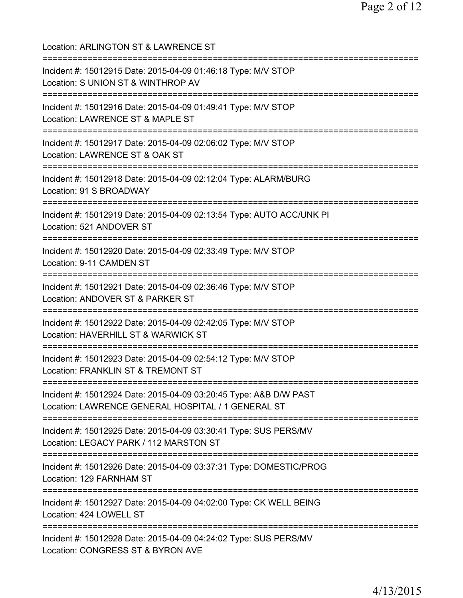| Location: ARLINGTON ST & LAWRENCE ST<br>=================================                                                             |
|---------------------------------------------------------------------------------------------------------------------------------------|
| Incident #: 15012915 Date: 2015-04-09 01:46:18 Type: M/V STOP<br>Location: S UNION ST & WINTHROP AV<br>=========================      |
| Incident #: 15012916 Date: 2015-04-09 01:49:41 Type: M/V STOP<br>Location: LAWRENCE ST & MAPLE ST                                     |
| Incident #: 15012917 Date: 2015-04-09 02:06:02 Type: M/V STOP<br>Location: LAWRENCE ST & OAK ST<br>===========================        |
| Incident #: 15012918 Date: 2015-04-09 02:12:04 Type: ALARM/BURG<br>Location: 91 S BROADWAY                                            |
| Incident #: 15012919 Date: 2015-04-09 02:13:54 Type: AUTO ACC/UNK PI<br>Location: 521 ANDOVER ST                                      |
| Incident #: 15012920 Date: 2015-04-09 02:33:49 Type: M/V STOP<br>Location: 9-11 CAMDEN ST                                             |
| Incident #: 15012921 Date: 2015-04-09 02:36:46 Type: M/V STOP<br>Location: ANDOVER ST & PARKER ST<br>=======================          |
| Incident #: 15012922 Date: 2015-04-09 02:42:05 Type: M/V STOP<br>Location: HAVERHILL ST & WARWICK ST<br>=======================       |
| Incident #: 15012923 Date: 2015-04-09 02:54:12 Type: M/V STOP<br>Location: FRANKLIN ST & TREMONT ST                                   |
| Incident #: 15012924 Date: 2015-04-09 03:20:45 Type: A&B D/W PAST<br>Location: LAWRENCE GENERAL HOSPITAL / 1 GENERAL ST               |
| Incident #: 15012925 Date: 2015-04-09 03:30:41 Type: SUS PERS/MV<br>Location: LEGACY PARK / 112 MARSTON ST                            |
| Incident #: 15012926 Date: 2015-04-09 03:37:31 Type: DOMESTIC/PROG<br>Location: 129 FARNHAM ST                                        |
| ;===================================<br>Incident #: 15012927 Date: 2015-04-09 04:02:00 Type: CK WELL BEING<br>Location: 424 LOWELL ST |
| Incident #: 15012928 Date: 2015-04-09 04:24:02 Type: SUS PERS/MV<br>Location: CONGRESS ST & BYRON AVE                                 |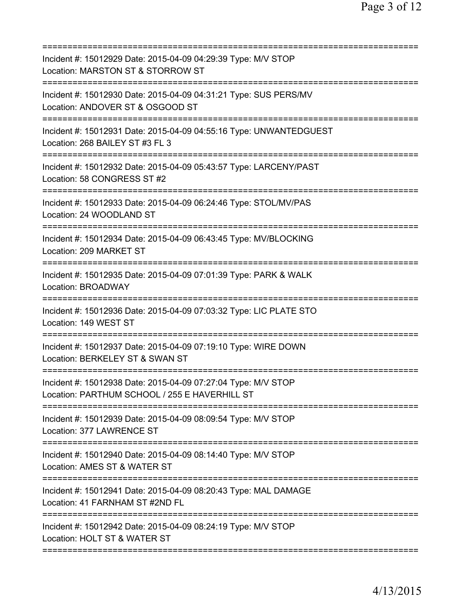| Incident #: 15012929 Date: 2015-04-09 04:29:39 Type: M/V STOP<br>Location: MARSTON ST & STORROW ST                            |
|-------------------------------------------------------------------------------------------------------------------------------|
| Incident #: 15012930 Date: 2015-04-09 04:31:21 Type: SUS PERS/MV<br>Location: ANDOVER ST & OSGOOD ST                          |
| Incident #: 15012931 Date: 2015-04-09 04:55:16 Type: UNWANTEDGUEST<br>Location: 268 BAILEY ST #3 FL 3                         |
| Incident #: 15012932 Date: 2015-04-09 05:43:57 Type: LARCENY/PAST<br>Location: 58 CONGRESS ST #2                              |
| Incident #: 15012933 Date: 2015-04-09 06:24:46 Type: STOL/MV/PAS<br>Location: 24 WOODLAND ST                                  |
| Incident #: 15012934 Date: 2015-04-09 06:43:45 Type: MV/BLOCKING<br>Location: 209 MARKET ST                                   |
| Incident #: 15012935 Date: 2015-04-09 07:01:39 Type: PARK & WALK<br><b>Location: BROADWAY</b>                                 |
| Incident #: 15012936 Date: 2015-04-09 07:03:32 Type: LIC PLATE STO<br>Location: 149 WEST ST                                   |
| Incident #: 15012937 Date: 2015-04-09 07:19:10 Type: WIRE DOWN<br>Location: BERKELEY ST & SWAN ST<br>==============           |
| Incident #: 15012938 Date: 2015-04-09 07:27:04 Type: M/V STOP<br>Location: PARTHUM SCHOOL / 255 E HAVERHILL ST                |
| Incident #: 15012939 Date: 2015-04-09 08:09:54 Type: M/V STOP<br>Location: 377 LAWRENCE ST                                    |
| Incident #: 15012940 Date: 2015-04-09 08:14:40 Type: M/V STOP<br>Location: AMES ST & WATER ST                                 |
| Incident #: 15012941 Date: 2015-04-09 08:20:43 Type: MAL DAMAGE<br>Location: 41 FARNHAM ST #2ND FL                            |
| ============================<br>Incident #: 15012942 Date: 2015-04-09 08:24:19 Type: M/V STOP<br>Location: HOLT ST & WATER ST |
|                                                                                                                               |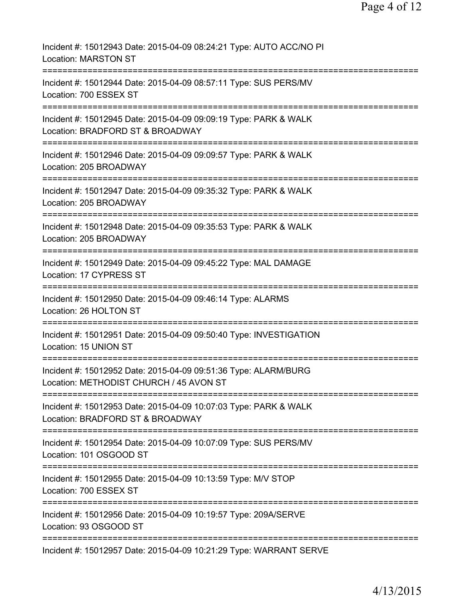| Incident #: 15012943 Date: 2015-04-09 08:24:21 Type: AUTO ACC/NO PI<br><b>Location: MARSTON ST</b>                             |
|--------------------------------------------------------------------------------------------------------------------------------|
| Incident #: 15012944 Date: 2015-04-09 08:57:11 Type: SUS PERS/MV<br>Location: 700 ESSEX ST<br>-----------                      |
| Incident #: 15012945 Date: 2015-04-09 09:09:19 Type: PARK & WALK<br>Location: BRADFORD ST & BROADWAY                           |
| Incident #: 15012946 Date: 2015-04-09 09:09:57 Type: PARK & WALK<br>Location: 205 BROADWAY                                     |
| Incident #: 15012947 Date: 2015-04-09 09:35:32 Type: PARK & WALK<br>Location: 205 BROADWAY                                     |
| Incident #: 15012948 Date: 2015-04-09 09:35:53 Type: PARK & WALK<br>Location: 205 BROADWAY                                     |
| Incident #: 15012949 Date: 2015-04-09 09:45:22 Type: MAL DAMAGE<br>Location: 17 CYPRESS ST                                     |
| ;===================================<br>Incident #: 15012950 Date: 2015-04-09 09:46:14 Type: ALARMS<br>Location: 26 HOLTON ST  |
| Incident #: 15012951 Date: 2015-04-09 09:50:40 Type: INVESTIGATION<br>Location: 15 UNION ST                                    |
| Incident #: 15012952 Date: 2015-04-09 09:51:36 Type: ALARM/BURG<br>Location: METHODIST CHURCH / 45 AVON ST                     |
| Incident #: 15012953 Date: 2015-04-09 10:07:03 Type: PARK & WALK<br>Location: BRADFORD ST & BROADWAY                           |
| ===============================<br>Incident #: 15012954 Date: 2015-04-09 10:07:09 Type: SUS PERS/MV<br>Location: 101 OSGOOD ST |
| Incident #: 15012955 Date: 2015-04-09 10:13:59 Type: M/V STOP<br>Location: 700 ESSEX ST                                        |
| Incident #: 15012956 Date: 2015-04-09 10:19:57 Type: 209A/SERVE<br>Location: 93 OSGOOD ST                                      |
| Incident #: 15012957 Date: 2015-04-09 10:21:29 Type: WARRANT SERVE                                                             |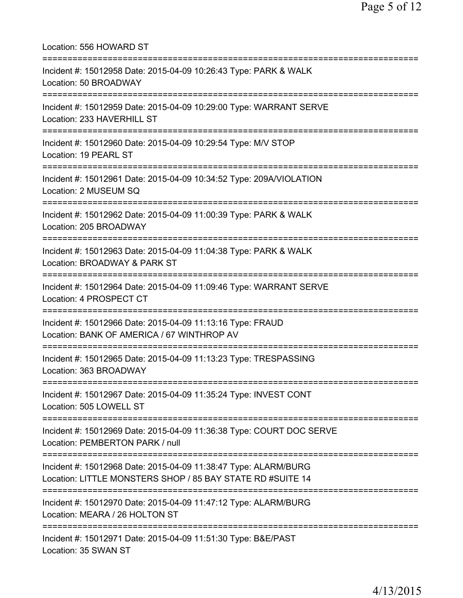| Location: 556 HOWARD ST<br>===========================                                                                                    |
|-------------------------------------------------------------------------------------------------------------------------------------------|
| Incident #: 15012958 Date: 2015-04-09 10:26:43 Type: PARK & WALK<br>Location: 50 BROADWAY<br>======================================       |
| Incident #: 15012959 Date: 2015-04-09 10:29:00 Type: WARRANT SERVE<br>Location: 233 HAVERHILL ST<br>===================================== |
| Incident #: 15012960 Date: 2015-04-09 10:29:54 Type: M/V STOP<br>Location: 19 PEARL ST                                                    |
| Incident #: 15012961 Date: 2015-04-09 10:34:52 Type: 209A/VIOLATION<br>Location: 2 MUSEUM SQ                                              |
| Incident #: 15012962 Date: 2015-04-09 11:00:39 Type: PARK & WALK<br>Location: 205 BROADWAY<br>------------------------------------        |
| Incident #: 15012963 Date: 2015-04-09 11:04:38 Type: PARK & WALK<br>Location: BROADWAY & PARK ST                                          |
| Incident #: 15012964 Date: 2015-04-09 11:09:46 Type: WARRANT SERVE<br>Location: 4 PROSPECT CT                                             |
| Incident #: 15012966 Date: 2015-04-09 11:13:16 Type: FRAUD<br>Location: BANK OF AMERICA / 67 WINTHROP AV                                  |
| :==========================<br>Incident #: 15012965 Date: 2015-04-09 11:13:23 Type: TRESPASSING<br>Location: 363 BROADWAY                 |
| Incident #: 15012967 Date: 2015-04-09 11:35:24 Type: INVEST CONT<br>Location: 505 LOWELL ST                                               |
| Incident #: 15012969 Date: 2015-04-09 11:36:38 Type: COURT DOC SERVE<br>Location: PEMBERTON PARK / null                                   |
| Incident #: 15012968 Date: 2015-04-09 11:38:47 Type: ALARM/BURG<br>Location: LITTLE MONSTERS SHOP / 85 BAY STATE RD #SUITE 14             |
| Incident #: 15012970 Date: 2015-04-09 11:47:12 Type: ALARM/BURG<br>Location: MEARA / 26 HOLTON ST                                         |
| Incident #: 15012971 Date: 2015-04-09 11:51:30 Type: B&E/PAST<br>Location: 35 SWAN ST                                                     |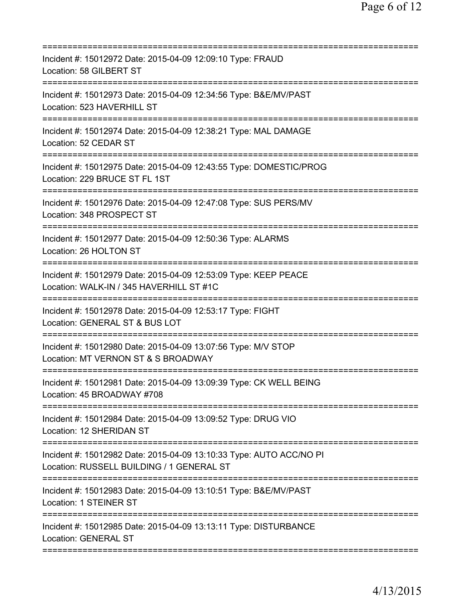| Incident #: 15012972 Date: 2015-04-09 12:09:10 Type: FRAUD<br>Location: 58 GILBERT ST                                                      |
|--------------------------------------------------------------------------------------------------------------------------------------------|
| Incident #: 15012973 Date: 2015-04-09 12:34:56 Type: B&E/MV/PAST<br>Location: 523 HAVERHILL ST                                             |
| Incident #: 15012974 Date: 2015-04-09 12:38:21 Type: MAL DAMAGE<br>Location: 52 CEDAR ST                                                   |
| Incident #: 15012975 Date: 2015-04-09 12:43:55 Type: DOMESTIC/PROG<br>Location: 229 BRUCE ST FL 1ST<br>====================                |
| Incident #: 15012976 Date: 2015-04-09 12:47:08 Type: SUS PERS/MV<br>Location: 348 PROSPECT ST                                              |
| Incident #: 15012977 Date: 2015-04-09 12:50:36 Type: ALARMS<br>Location: 26 HOLTON ST<br>======================================            |
| Incident #: 15012979 Date: 2015-04-09 12:53:09 Type: KEEP PEACE<br>Location: WALK-IN / 345 HAVERHILL ST #1C<br>=========================== |
| Incident #: 15012978 Date: 2015-04-09 12:53:17 Type: FIGHT<br>Location: GENERAL ST & BUS LOT<br>========================                   |
| Incident #: 15012980 Date: 2015-04-09 13:07:56 Type: M/V STOP<br>Location: MT VERNON ST & S BROADWAY                                       |
| Incident #: 15012981 Date: 2015-04-09 13:09:39 Type: CK WELL BEING<br>Location: 45 BROADWAY #708                                           |
| Incident #: 15012984 Date: 2015-04-09 13:09:52 Type: DRUG VIO<br>Location: 12 SHERIDAN ST                                                  |
| Incident #: 15012982 Date: 2015-04-09 13:10:33 Type: AUTO ACC/NO PI<br>Location: RUSSELL BUILDING / 1 GENERAL ST                           |
| Incident #: 15012983 Date: 2015-04-09 13:10:51 Type: B&E/MV/PAST<br><b>Location: 1 STEINER ST</b>                                          |
| Incident #: 15012985 Date: 2015-04-09 13:13:11 Type: DISTURBANCE<br><b>Location: GENERAL ST</b>                                            |
|                                                                                                                                            |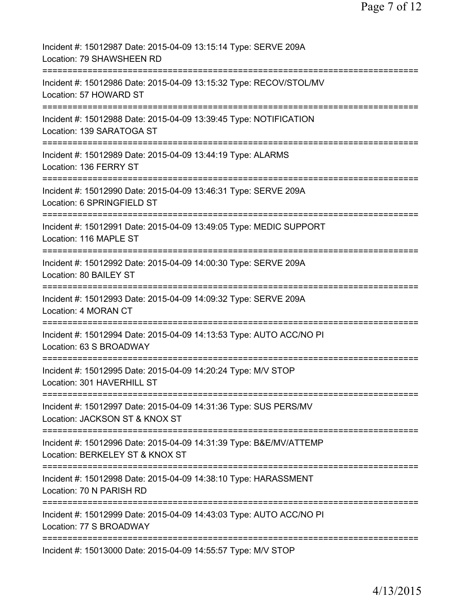| Incident #: 15012987 Date: 2015-04-09 13:15:14 Type: SERVE 209A<br>Location: 79 SHAWSHEEN RD                                        |
|-------------------------------------------------------------------------------------------------------------------------------------|
| Incident #: 15012986 Date: 2015-04-09 13:15:32 Type: RECOV/STOL/MV<br>Location: 57 HOWARD ST                                        |
| Incident #: 15012988 Date: 2015-04-09 13:39:45 Type: NOTIFICATION<br>Location: 139 SARATOGA ST                                      |
| Incident #: 15012989 Date: 2015-04-09 13:44:19 Type: ALARMS<br>Location: 136 FERRY ST                                               |
| Incident #: 15012990 Date: 2015-04-09 13:46:31 Type: SERVE 209A<br>Location: 6 SPRINGFIELD ST                                       |
| Incident #: 15012991 Date: 2015-04-09 13:49:05 Type: MEDIC SUPPORT<br>Location: 116 MAPLE ST                                        |
| Incident #: 15012992 Date: 2015-04-09 14:00:30 Type: SERVE 209A<br>Location: 80 BAILEY ST                                           |
| Incident #: 15012993 Date: 2015-04-09 14:09:32 Type: SERVE 209A<br>Location: 4 MORAN CT                                             |
| =================<br>Incident #: 15012994 Date: 2015-04-09 14:13:53 Type: AUTO ACC/NO PI<br>Location: 63 S BROADWAY                 |
| Incident #: 15012995 Date: 2015-04-09 14:20:24 Type: M/V STOP<br>Location: 301 HAVERHILL ST                                         |
| Incident #: 15012997 Date: 2015-04-09 14:31:36 Type: SUS PERS/MV<br>Location: JACKSON ST & KNOX ST                                  |
| ==========================<br>Incident #: 15012996 Date: 2015-04-09 14:31:39 Type: B&E/MV/ATTEMP<br>Location: BERKELEY ST & KNOX ST |
| Incident #: 15012998 Date: 2015-04-09 14:38:10 Type: HARASSMENT<br>Location: 70 N PARISH RD                                         |
| Incident #: 15012999 Date: 2015-04-09 14:43:03 Type: AUTO ACC/NO PI<br>Location: 77 S BROADWAY                                      |
| Incident #: 15013000 Date: 2015-04-09 14:55:57 Type: M/V STOP                                                                       |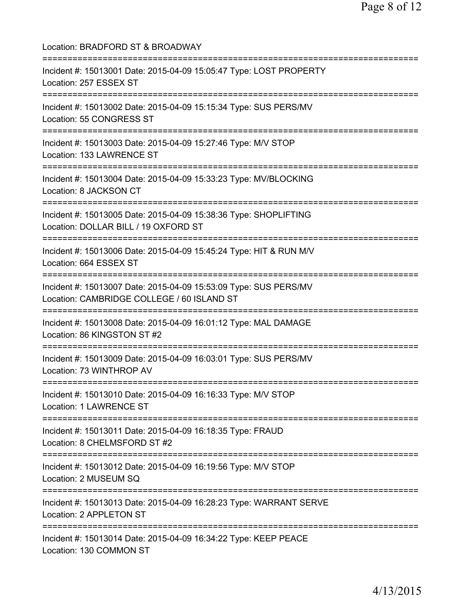Location: BRADFORD ST & BROADWAY =========================================================================== Incident #: 15013001 Date: 2015-04-09 15:05:47 Type: LOST PROPERTY Location: 257 ESSEX ST =========================================================================== Incident #: 15013002 Date: 2015-04-09 15:15:34 Type: SUS PERS/MV Location: 55 CONGRESS ST =========================================================================== Incident #: 15013003 Date: 2015-04-09 15:27:46 Type: M/V STOP Location: 133 LAWRENCE ST =========================================================================== Incident #: 15013004 Date: 2015-04-09 15:33:23 Type: MV/BLOCKING Location: 8 JACKSON CT =========================================================================== Incident #: 15013005 Date: 2015-04-09 15:38:36 Type: SHOPLIFTING Location: DOLLAR BILL / 19 OXFORD ST =========================================================================== Incident #: 15013006 Date: 2015-04-09 15:45:24 Type: HIT & RUN M/V Location: 664 ESSEX ST =========================================================================== Incident #: 15013007 Date: 2015-04-09 15:53:09 Type: SUS PERS/MV Location: CAMBRIDGE COLLEGE / 60 ISLAND ST =========================================================================== Incident #: 15013008 Date: 2015-04-09 16:01:12 Type: MAL DAMAGE Location: 86 KINGSTON ST #2 =========================================================================== Incident #: 15013009 Date: 2015-04-09 16:03:01 Type: SUS PERS/MV Location: 73 WINTHROP AV =========================================================================== Incident #: 15013010 Date: 2015-04-09 16:16:33 Type: M/V STOP Location: 1 LAWRENCE ST =========================================================================== Incident #: 15013011 Date: 2015-04-09 16:18:35 Type: FRAUD Location: 8 CHELMSFORD ST #2 =========================================================================== Incident #: 15013012 Date: 2015-04-09 16:19:56 Type: M/V STOP Location: 2 MUSEUM SQ =========================================================================== Incident #: 15013013 Date: 2015-04-09 16:28:23 Type: WARRANT SERVE Location: 2 APPLETON ST =========================================================================== Incident #: 15013014 Date: 2015-04-09 16:34:22 Type: KEEP PEACE Location: 130 COMMON ST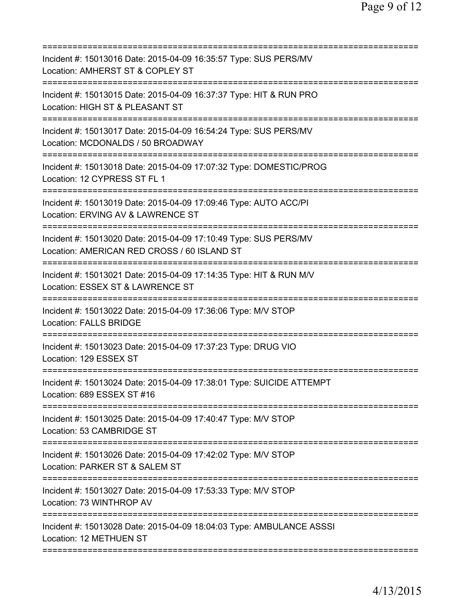| Incident #: 15013016 Date: 2015-04-09 16:35:57 Type: SUS PERS/MV<br>Location: AMHERST ST & COPLEY ST                                |
|-------------------------------------------------------------------------------------------------------------------------------------|
| Incident #: 15013015 Date: 2015-04-09 16:37:37 Type: HIT & RUN PRO<br>Location: HIGH ST & PLEASANT ST                               |
| Incident #: 15013017 Date: 2015-04-09 16:54:24 Type: SUS PERS/MV<br>Location: MCDONALDS / 50 BROADWAY<br>========================== |
| Incident #: 15013018 Date: 2015-04-09 17:07:32 Type: DOMESTIC/PROG<br>Location: 12 CYPRESS ST FL 1                                  |
| Incident #: 15013019 Date: 2015-04-09 17:09:46 Type: AUTO ACC/PI<br>Location: ERVING AV & LAWRENCE ST                               |
| Incident #: 15013020 Date: 2015-04-09 17:10:49 Type: SUS PERS/MV<br>Location: AMERICAN RED CROSS / 60 ISLAND ST                     |
| Incident #: 15013021 Date: 2015-04-09 17:14:35 Type: HIT & RUN M/V<br>Location: ESSEX ST & LAWRENCE ST                              |
| Incident #: 15013022 Date: 2015-04-09 17:36:06 Type: M/V STOP<br><b>Location: FALLS BRIDGE</b>                                      |
| Incident #: 15013023 Date: 2015-04-09 17:37:23 Type: DRUG VIO<br>Location: 129 ESSEX ST                                             |
| Incident #: 15013024 Date: 2015-04-09 17:38:01 Type: SUICIDE ATTEMPT<br>Location: 689 ESSEX ST #16                                  |
| Incident #: 15013025 Date: 2015-04-09 17:40:47 Type: M/V STOP<br>Location: 53 CAMBRIDGE ST                                          |
| Incident #: 15013026 Date: 2015-04-09 17:42:02 Type: M/V STOP<br>Location: PARKER ST & SALEM ST                                     |
| Incident #: 15013027 Date: 2015-04-09 17:53:33 Type: M/V STOP<br>Location: 73 WINTHROP AV                                           |
| Incident #: 15013028 Date: 2015-04-09 18:04:03 Type: AMBULANCE ASSSI<br>Location: 12 METHUEN ST                                     |
|                                                                                                                                     |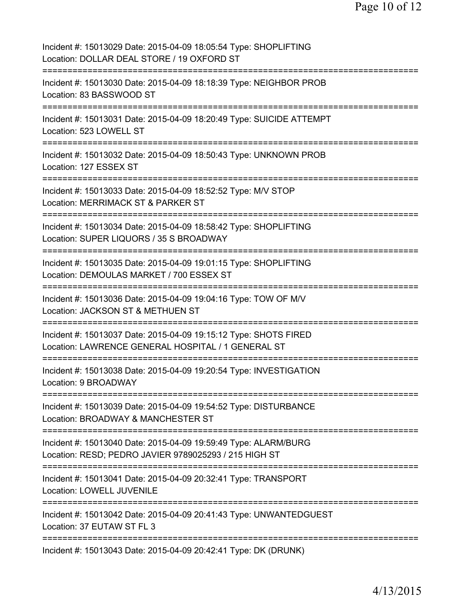| Incident #: 15013029 Date: 2015-04-09 18:05:54 Type: SHOPLIFTING<br>Location: DOLLAR DEAL STORE / 19 OXFORD ST                                         |
|--------------------------------------------------------------------------------------------------------------------------------------------------------|
| Incident #: 15013030 Date: 2015-04-09 18:18:39 Type: NEIGHBOR PROB<br>Location: 83 BASSWOOD ST                                                         |
| Incident #: 15013031 Date: 2015-04-09 18:20:49 Type: SUICIDE ATTEMPT<br>Location: 523 LOWELL ST                                                        |
| Incident #: 15013032 Date: 2015-04-09 18:50:43 Type: UNKNOWN PROB<br>Location: 127 ESSEX ST                                                            |
| Incident #: 15013033 Date: 2015-04-09 18:52:52 Type: M/V STOP<br>Location: MERRIMACK ST & PARKER ST                                                    |
| Incident #: 15013034 Date: 2015-04-09 18:58:42 Type: SHOPLIFTING<br>Location: SUPER LIQUORS / 35 S BROADWAY                                            |
| Incident #: 15013035 Date: 2015-04-09 19:01:15 Type: SHOPLIFTING<br>Location: DEMOULAS MARKET / 700 ESSEX ST<br>==================                     |
| Incident #: 15013036 Date: 2015-04-09 19:04:16 Type: TOW OF M/V<br>Location: JACKSON ST & METHUEN ST<br>===============                                |
| Incident #: 15013037 Date: 2015-04-09 19:15:12 Type: SHOTS FIRED<br>Location: LAWRENCE GENERAL HOSPITAL / 1 GENERAL ST                                 |
| Incident #: 15013038 Date: 2015-04-09 19:20:54 Type: INVESTIGATION<br>Location: 9 BROADWAY                                                             |
| Incident #: 15013039 Date: 2015-04-09 19:54:52 Type: DISTURBANCE<br>Location: BROADWAY & MANCHESTER ST                                                 |
| Incident #: 15013040 Date: 2015-04-09 19:59:49 Type: ALARM/BURG<br>Location: RESD; PEDRO JAVIER 9789025293 / 215 HIGH ST<br>========================== |
| Incident #: 15013041 Date: 2015-04-09 20:32:41 Type: TRANSPORT<br>Location: LOWELL JUVENILE                                                            |
| Incident #: 15013042 Date: 2015-04-09 20:41:43 Type: UNWANTEDGUEST<br>Location: 37 EUTAW ST FL 3                                                       |
| Incident #: 15013043 Date: 2015-04-09 20:42:41 Type: DK (DRUNK)                                                                                        |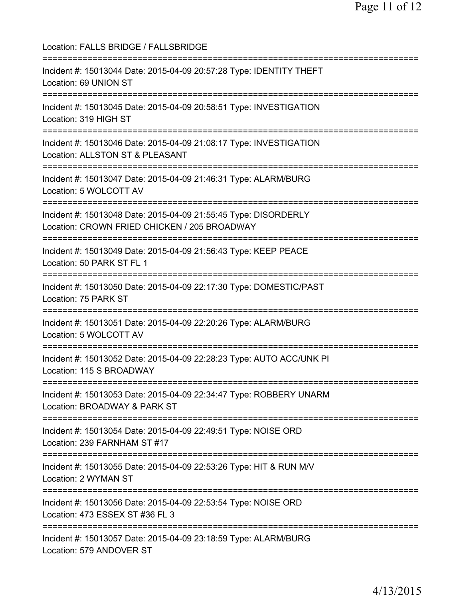Location: FALLS BRIDGE / FALLSBRIDGE =========================================================================== Incident #: 15013044 Date: 2015-04-09 20:57:28 Type: IDENTITY THEFT Location: 69 UNION ST =========================================================================== Incident #: 15013045 Date: 2015-04-09 20:58:51 Type: INVESTIGATION Location: 319 HIGH ST =========================================================================== Incident #: 15013046 Date: 2015-04-09 21:08:17 Type: INVESTIGATION Location: ALLSTON ST & PLEASANT =========================================================================== Incident #: 15013047 Date: 2015-04-09 21:46:31 Type: ALARM/BURG Location: 5 WOLCOTT AV =========================================================================== Incident #: 15013048 Date: 2015-04-09 21:55:45 Type: DISORDERLY Location: CROWN FRIED CHICKEN / 205 BROADWAY =========================================================================== Incident #: 15013049 Date: 2015-04-09 21:56:43 Type: KEEP PEACE Location: 50 PARK ST FL 1 =========================================================================== Incident #: 15013050 Date: 2015-04-09 22:17:30 Type: DOMESTIC/PAST Location: 75 PARK ST =========================================================================== Incident #: 15013051 Date: 2015-04-09 22:20:26 Type: ALARM/BURG Location: 5 WOLCOTT AV =========================================================================== Incident #: 15013052 Date: 2015-04-09 22:28:23 Type: AUTO ACC/UNK PI Location: 115 S BROADWAY =========================================================================== Incident #: 15013053 Date: 2015-04-09 22:34:47 Type: ROBBERY UNARM Location: BROADWAY & PARK ST =========================================================================== Incident #: 15013054 Date: 2015-04-09 22:49:51 Type: NOISE ORD Location: 239 FARNHAM ST #17 =========================================================================== Incident #: 15013055 Date: 2015-04-09 22:53:26 Type: HIT & RUN M/V Location: 2 WYMAN ST =========================================================================== Incident #: 15013056 Date: 2015-04-09 22:53:54 Type: NOISE ORD Location: 473 ESSEX ST #36 FL 3 =========================================================================== Incident #: 15013057 Date: 2015-04-09 23:18:59 Type: ALARM/BURG Location: 579 ANDOVER ST